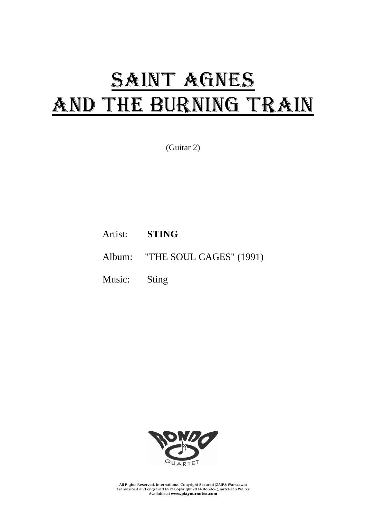## SAINT AGNES AND THE BURNING TRAIN

(Guitar 2)

- Artist: **STING**
- Album: "THE SOUL CAGES" (1991)
- Music: Sting



All Rights Reserved. International Copyright Secured (ZAiKS Warszawa) Transcribed and engraved by © Copyright 2014 Rondo-Quartet-Jan Walter Available at **www.playournotes.com**